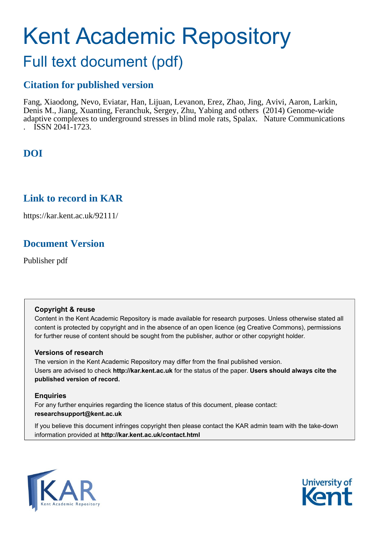# Kent Academic Repository

# Full text document (pdf)

# **Citation for published version**

Fang, Xiaodong, Nevo, Eviatar, Han, Lijuan, Levanon, Erez, Zhao, Jing, Avivi, Aaron, Larkin, Denis M., Jiang, Xuanting, Feranchuk, Sergey, Zhu, Yabing and others (2014) Genome-wide adaptive complexes to underground stresses in blind mole rats, Spalax. Nature Communications . ISSN 2041-1723.

# **DOI**

# **Link to record in KAR**

https://kar.kent.ac.uk/92111/

# **Document Version**

Publisher pdf

# **Copyright & reuse**

Content in the Kent Academic Repository is made available for research purposes. Unless otherwise stated all content is protected by copyright and in the absence of an open licence (eg Creative Commons), permissions for further reuse of content should be sought from the publisher, author or other copyright holder.

# **Versions of research**

The version in the Kent Academic Repository may differ from the final published version. Users are advised to check **http://kar.kent.ac.uk** for the status of the paper. **Users should always cite the published version of record.**

# **Enquiries**

For any further enquiries regarding the licence status of this document, please contact: **researchsupport@kent.ac.uk**

If you believe this document infringes copyright then please contact the KAR admin team with the take-down information provided at **http://kar.kent.ac.uk/contact.html**



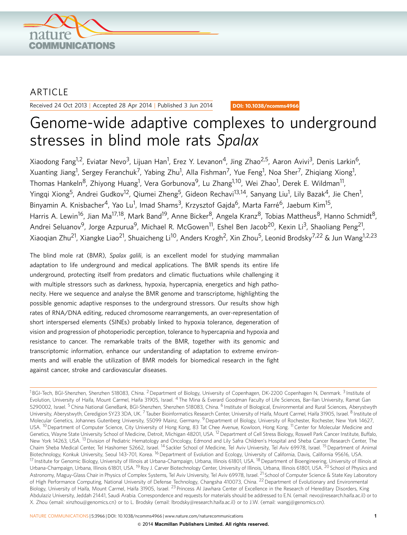

# ARTICLE

Received 24 Oct 2013 | Accepted 28 Apr 2014 | Published 3 Jun 2014

DOI: 10.1038/ncomms4966

# Genome-wide adaptive complexes to underground stresses in blind mole rats Spalax

Xiaodong Fang<sup>1,2</sup>, Eviatar Nevo<sup>3</sup>, Lijuan Han<sup>1</sup>, Erez Y. Levanon<sup>4</sup>, Jing Zhao<sup>2,5</sup>, Aaron Avivi<sup>3</sup>, Denis Larkin<sup>6</sup>, Xuanting Jiang<sup>1</sup>, Sergey Feranchuk<sup>7</sup>, Yabing Zhu<sup>1</sup>, Alla Fishman<sup>7</sup>, Yue Feng<sup>1</sup>, Noa Sher<sup>7</sup>, Zhiqiang Xiong<sup>1</sup>, Thomas Hankeln<sup>8</sup>, Zhiyong Huang<sup>1</sup>, Vera Gorbunova<sup>9</sup>, Lu Zhang<sup>1,10</sup>, Wei Zhao<sup>1</sup>, Derek E. Wildman<sup>11</sup>, Yingqi Xiong<sup>5</sup>, Andrei Gudkov<sup>12</sup>, Qiumei Zheng<sup>5</sup>, Gideon Rechavi<sup>13,14</sup>, Sanyang Liu<sup>1</sup>, Lily Bazak<sup>4</sup>, Jie Chen<sup>1</sup>, Binyamin A. Knisbacher<sup>4</sup>, Yao Lu<sup>1</sup>, Imad Shams<sup>3</sup>, Krzysztof Gajda<sup>6</sup>, Marta Farré<sup>6</sup>, Jaebum Kim<sup>15</sup>, Harris A. Lewin<sup>16</sup>, Jian Ma<sup>17,18</sup>, Mark Band<sup>19</sup>, Anne Bicker<sup>8</sup>, Angela Kranz<sup>8</sup>, Tobias Mattheus<sup>8</sup>, Hanno Schmidt<sup>8</sup>, Andrei Seluanov<sup>9</sup>, Jorge Azpurua<sup>9</sup>, Michael R. McGowen<sup>11</sup>, Eshel Ben Jacob<sup>20</sup>, Kexin Li<sup>3</sup>, Shaoliang Peng<sup>21</sup>, Xiaogian Zhu<sup>21</sup>, Xiangke Liao<sup>21</sup>, Shuaicheng Li<sup>10</sup>, Anders Krogh<sup>2</sup>, Xin Zhou<sup>5</sup>, Leonid Brodsky<sup>7,22</sup> & Jun Wang<sup>1,2,23</sup>

The blind mole rat (BMR), Spalax galili, is an excellent model for studying mammalian adaptation to life underground and medical applications. The BMR spends its entire life underground, protecting itself from predators and climatic fluctuations while challenging it with multiple stressors such as darkness, hypoxia, hypercapnia, energetics and high pathonecity. Here we sequence and analyse the BMR genome and transcriptome, highlighting the possible genomic adaptive responses to the underground stressors. Our results show high rates of RNA/DNA editing, reduced chromosome rearrangements, an over-representation of short interspersed elements (SINEs) probably linked to hypoxia tolerance, degeneration of vision and progression of photoperiodic perception, tolerance to hypercapnia and hypoxia and resistance to cancer. The remarkable traits of the BMR, together with its genomic and transcriptomic information, enhance our understanding of adaptation to extreme environments and will enable the utilization of BMR models for biomedical research in the fight against cancer, stroke and cardiovascular diseases.

<sup>1</sup>BGI-Tech, BGI-Shenzhen, Shenzhen 518083, China. <sup>2</sup> Department of Biology, University of Copenhagen, DK-2200 Copenhagen N, Denmark. <sup>3</sup> Institute of Evolution, University of Haifa, Mount Carmel, Haifa 31905, Israel. <sup>4</sup> The Mina & Everard Goodman Faculty of Life Sciences, Bar-Ilan University, Ramat Gan 5290002, Israel. <sup>5</sup> China National GeneBank, BGI-Shenzhen, Shenzhen 518083, China. <sup>6</sup> Institute of Biological, Environmental and Rural Sciences, Aberystwyth University, Aberystwyth, Ceredigion SY23 3DA, UK.<sup>7</sup> Tauber Bioinformatics Research Center, University of Haifa, Mount Carmel, Haifa 31905, Israel. <sup>8</sup> Institute of Molecular Genetics, Johannes Gutenberg University, 55099 Mainz, Germany. <sup>9</sup> Department of Biology, University of Rochester, Rochester, New York 14627, USA. <sup>10</sup> Department of Computer Science, City University of Hong Kong, 83 Tat Chee Avenue, Kowloon, Hong Kong. <sup>11</sup> Center for Molecular Medicine and Genetics, Wayne State University School of Medicine, Detroit, Michigan 48201, USA. <sup>12</sup> Department of Cell Stress Biology, Roswell Park Cancer Institute, Buffalo, New York 14263, USA. 13Division of Pediatric Hematology and Oncology, Edmond and Lily Safra Children's Hospital and Sheba Cancer Research Center, The Chaim Sheba Medical Center, Tel Hashomer 52662, Israel. <sup>14</sup> Sackler School of Medicine, Tel Aviv University, Tel Aviv 69978, Israel. 15Department of Animal Biotechnology, Konkuk University, Seoul 143-701, Korea. <sup>16</sup> Department of Evolution and Ecology, University of California, Davis, California 95616, USA. <sup>17</sup> Institute for Genomic Biology, University of Illinois at Urbana-Champaign, Urbana, Illinois 61801, USA. <sup>18</sup> Department of Bioengineering, University of Illinois at Urbana-Champaign, Urbana, Illinois 61801, USA. <sup>19</sup> Roy J. Carver Biotechnology Center, University of Illinois, Urbana, Illinois 61801, USA. <sup>20</sup> School of Physics and Astronomy, Maguy-Glass Chair in Physics of Complex Systems, Tel Aviv University, Tel Aviv 69978, Israel. <sup>21</sup> School of Computer Science & State Key Laboratory of High Performance Computing, National University of Defense Technology, Changsha 410073, China. <sup>22</sup> Department of Evolutionary and Environmental Biology, University of Haifa, Mount Carmel, Haifa 31905, Israel. <sup>23</sup> Princess Al Jawhara Center of Excellence in the Research of Hereditary Disorders, King Abdulaziz University, Jeddah 21441, Saudi Arabia. Correspondence and requests for materials should be addressed to E.N. (email: [nevo@research.haifa.ac.il\)](mailto:nevo@research.haifa.ac.il) or to X. Zhou (email: [xinzhou@genomics.cn](mailto:xinzhou@genomics.cn)) or to L. Brodsky (email: [lbrodsky@research.haifa.ac.il](mailto:lbrodsky@research.haifa.ac.il)) or to J.W. (email: [wangj@genomics.cn](mailto:wangj@genomics.cn)).

NATURE COMMUNICATIONS | 5:3966 | DOI: 10.1038/ncomms4966 | [www.nature.com/naturecommunications](http://www.nature.com/naturecommunications) 1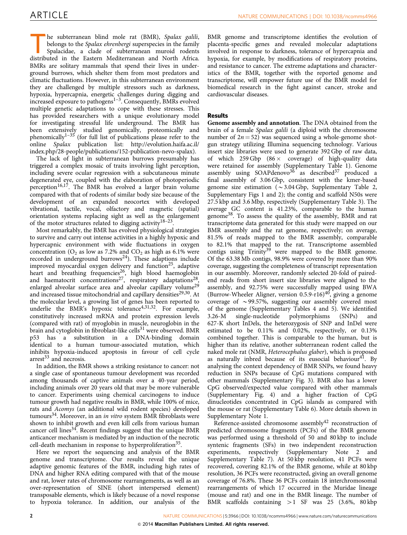he subterranean blind mole rat (BMR), Spalax galili, belongs to the Spalax ehrenbergi superspecies in the family Spalacidae, a clade of subterranean muroid rodents distributed in the Eastern Mediterranean and North Africa. BMRs are solitary mammals that spend their lives in underground burrows, which shelter them from most predators and climatic fluctuations. However, in this subterranean environment they are challenged by multiple stressors such as darkness, hypoxia, hypercapnia, energetic challenges during digging and increased exposure to pathogens $1-3$ . Consequently, BMRs evolved multiple genetic adaptations to cope with these stresses. This has provided researchers with a unique evolutionary model for investigating stressful life underground. The BMR has been extensively studied genomically, proteomically and phenomically $1-35$  (for full list of publications please refer to the online Spalax publication list: [http://evolution.haifa.ac.il/](http://evolution.haifa.ac.il/index.php/28-people/publications/152-publication-nevo-spalax) [index.php/28-people/publications/152-publication-nevo-spalax\)](http://evolution.haifa.ac.il/index.php/28-people/publications/152-publication-nevo-spalax).

The lack of light in subterranean burrows presumably has triggered a complex mosaic of traits involving light perception, including severe ocular regression with a subcutaneous minute degenerated eye, coupled with the elaboration of photoperiodic perception<sup>16,17</sup>. The BMR has evolved a larger brain volume compared with that of rodents of similar body size because of the development of an expanded neocortex with developed vibrational, tactile, vocal, olfactory and magnetic (spatial) orientation systems replacing sight as well as the enlargement of the motor structures related to digging activity<sup>18–23</sup>.

Most remarkably, the BMR has evolved physiological strategies to survive and carry out intense activities in a highly hypoxic and hypercapnic environment with wide fluctuations in oxygen concentration ( $O_2$  as low as 7.2% and  $CO_2$  as high as 6.1% were recorded in underground burrows<sup>24</sup>). These adaptions include improved myocardial oxygen delivery and function<sup>25</sup>, adaptive heart and breathing frequencies<sup>26</sup>, high blood haemoglobin and haematocrit concentrations<sup>27</sup>, respiratory adaptations<sup>28</sup>, enlarged alveolar surface area and alveolar capillary volume<sup>29</sup> and increased tissue mitochondrial and capillary densities<sup>29,30</sup>. At the molecular level, a growing list of genes has been reported to underlie the BMR's hypoxic tolerance<sup>4,31,32</sup>. For example, constitutively increased mRNA and protein expression levels (compared with rat) of myoglobin in muscle, neuroglobin in the brain and cytoglobin in fibroblast-like cells<sup>31</sup> were observed. BMR p53 has a substitution in a DNA-binding domain identical to a human tumour-associated mutation, which inhibits hypoxia-induced apoptosis in favour of cell cycle  $arrest<sup>33</sup>$  and necrosis.

In addition, the BMR shows a striking resistance to cancer: not a single case of spontaneous tumour development was recorded among thousands of captive animals over a 40-year period, including animals over 20 years old that may be more vulnerable to cancer. Experiments using chemical carcinogens to induce tumour growth had negative results in BMR, while 100% of mice, rats and Acomys (an additional wild rodent species) developed tumours<sup>34</sup>. Moreover, in an *in vitro* system BMR fibroblasts were shown to inhibit growth and even kill cells from various human cancer cell lines<sup>34</sup>. Recent findings suggest that the unique BMR anticancer mechanism is mediated by an induction of the necrotic cell-death mechanism in response to hyperproliferation<sup>35</sup>.

Here we report the sequencing and analysis of the BMR genome and transcriptome. Our results reveal the unique adaptive genomic features of the BMR, including high rates of DNA and higher RNA editing compared with that of the mouse and rat, lower rates of chromosome rearrangements, as well as an over-representation of SINE (short interspersed element) transposable elements, which is likely because of a novel response to hypoxia tolerance. In addition, our analysis of the

BMR genome and transcriptome identifies the evolution of placenta-specific genes and revealed molecular adaptations involved in response to darkness, tolerance of hypercapnia and hypoxia, for example, by modifications of respiratory proteins, and resistance to cancer. The extreme adaptations and characteristics of the BMR, together with the reported genome and transcriptome, will empower future use of the BMR model for biomedical research in the fight against cancer, stroke and cardiovascular diseases.

### Results

Genome assembly and annotation. The DNA obtained from the brain of a female Spalax galili (a diploid with the chromosome number of  $2n = 52$ ) was sequenced using a whole-genome shotgun strategy utilizing Illumina sequencing technology. Various insert size libraries were used to generate 392 Gbp of raw data, of which 259 Gbp  $(86 \times \text{coverage})$  of high-quality data were retained for assembly (Supplementary Table 1). Genome assembly using  $SOPdenovo^{36}$  as described<sup>37</sup> produced a final assembly of 3.06 Gbp, consistent with the kmer-based genome size estimation ( $\sim$  3.04 Gbp, Supplementary Table 2, Supplementary Figs 1 and 2); the contig and scaffold N50s were 27.5 kbp and 3.6 Mbp, respectively (Supplementary Table 3). The average GC content is 41.23%, comparable to the human genome38. To assess the quality of the assembly, BMR and rat transcriptome data generated for this study were mapped on our BMR assembly and the rat genome, respectively; on average, 81.5% of reads mapped to the BMR assembly, comparable to 82.1% that mapped to the rat. Transcriptome assembled contigs using Trinity<sup>39</sup> were mapped to the BMR genome. Of the 63.38 Mb contigs, 98.9% were covered by more than 90% coverage, suggesting the completeness of transcript representation in our assembly. Moreover, randomly selected 20-fold of pairedend reads from short insert size libraries were aligned to the assembly, and 92.75% were successfully mapped using BWA (Burrow-Wheeler Aligner, version  $0.5.9$ -r16)<sup>40</sup>, giving a genome coverage of  $\sim$  99.57%, suggesting our assembly covered most of the genome (Supplementary Tables 4 and 5). We identified 3.26-M single-nucleotide polymorphisms (SNPs) and 627-K short InDels, the heterozygosis of SNP and InDel were estimated to be 0.11% and 0.02%, respectively, or 0.13% combined together. This is comparable to the human, but is higher than its relative, another subterranean rodent called the naked mole rat (NMR, Heterocephalus glaber), which is proposed as naturally inbred because of its eusocial behaviour<sup>41</sup>. By analysing the context dependency of BMR SNPs, we found heavy reduction in SNPs because of CpG mutations compared with other mammals (Supplementary Fig. 3). BMR also has a lower CpG observed/expected value compared with other mammals (Supplementary Fig. 4) and a higher fraction of CpG dinucleotides concentrated in CpG islands as compared with the mouse or rat (Supplementary Table 6). More details shown in Supplementary Note 1.

Reference-assisted chromosome assembly<sup>42</sup> reconstruction of predicted chromosome fragments (PCFs) of the BMR genome was performed using a threshold of 50 and 80 kbp to include syntenic fragments (SFs) in two independent reconstruction experiments, respectively (Supplementary Note 2 and Supplementary Table 7). At 50 kbp resolution, 41 PCFs were recovered, covering 82.1% of the BMR genome, while at 80 kbp resolution, 36 PCFs were reconstructed, giving an overall genome coverage of 76.8%. These 36 PCFs contain 18 interchromosomal rearrangements of which 17 occurred in the Muridae lineage (mouse and rat) and one in the BMR lineage. The number of BMR scaffolds containing  $>1$  SF was 25 (3.6%, 80 kbp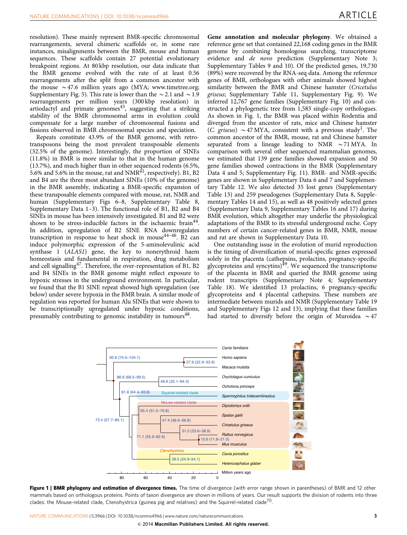resolution). These mainly represent BMR-specific chromosomal rearrangements, several chimeric scaffolds or, in some rare instances, misalignments between the BMR, mouse and human sequences. These scaffolds contain 27 potential evolutionary breakpoint regions. At 80 kbp resolution, our data indicate that the BMR genome evolved with the rate of at least 0.56 rearrangements after the split from a common ancestor with the mouse  $\sim$  47.6 million years ago (MYA; [www.timetree.org;](www.timetree.org) Supplementary Fig. 5). This rate is lower than the  $\sim$  2.1 and  $\sim$  1.9 rearrangements per million years (300 kbp resolution) in  $r$ -artiodactyl and primate genomes<sup>43</sup>, suggesting that a striking stability of the BMR chromosomal arms in evolution could compensate for a large number of chromosomal fusions and fissions observed in BMR chromosomal species and speciation.

Repeats constitute 43.9% of the BMR genome, with retrotransposons being the most prevalent transposable elements (32.5% of the genome). Interestingly, the proportion of SINEs (11.8%) in BMR is more similar to that in the human genome (13.7%), and much higher than in other sequenced rodents (6.5%, 5.6% and 5.6% in the mouse, rat and  $NMR<sup>41</sup>$ , respectively). B1, B2 and B4 are the three most abundant SINEs (10% of the genome) in the BMR assembly, indicating a BMR-specific expansion of these transposable elements compared with mouse, rat, NMR and human (Supplementary Figs 6–8, Supplementary Table 8, Supplementary Data 1–3). The functional role of B1, B2 and B4 SINEs in mouse has been intensively investigated. B1 and B2 were shown to be stress-inducible factors in the ischaemic brain<sup>44</sup>. In addition, upregulation of B2 SINE RNA downregulates transcription in response to heat shock in mouse<sup>44-46</sup>. B2 can induce polymorphic expression of the 5-aminolevulinic acid synthase 1 (ALAS1) gene, the key to nonerythroid haem homeostasis and fundamental in respiration, drug metabolism and cell signalling<sup>47</sup>. Therefore, the over-representation of B1, B2 and B4 SINEs in the BMR genome might reflect exposure to hypoxic stresses in the underground environment. In particular, we found that the B1 SINE repeat showed high upregulation (see below) under severe hypoxia in the BMR brain. A similar mode of regulation was reported for human Alu SINEs that were shown to be transcriptionally upregulated under hypoxic conditions, presumably contributing to genomic instability in tumours<sup>48</sup>.

Gene annotation and molecular phylogeny. We obtained a reference gene set that contained 22,168 coding genes in the BMR genome by combining homologous searching, transcriptome evidence and de novo prediction (Supplementary Note 3; Supplementary Tables 9 and 10). Of the predicted genes, 19,730 (89%) were recovered by the RNA-seq data. Among the reference genes of BMR, orthologues with other animals showed highest similarity between the BMR and Chinese hamster (Cricetulus griseus; Supplementary Table 11, Supplementary Fig. 9). We inferred 12,767 gene families (Supplementary Fig. 10) and constructed a phylogenetic tree from 1,583 single-copy orthologues. As shown in Fig. 1, the BMR was placed within Rodentia and diverged from the ancestor of rats, mice and Chinese hamster (C. griseus)  $\sim$  47 MYA, consistent with a previous study<sup>1</sup>. The common ancestor of the BMR, mouse, rat and Chinese hamster separated from a lineage leading to NMR  $\sim$  71 MYA. In comparison with several other sequenced mammalian genomes, we estimated that 139 gene families showed expansion and 50 gene families showed contractions in the BMR (Supplementary Data 4 and 5; Supplementary Fig. 11). BMR- and NMR-specific genes are shown in Supplementary Data 6 and 7 and Supplementary Table 12. We also detected 35 lost genes (Supplementary Table 13) and 259 pseudogenes (Supplementary Data 8, Supplementary Tables 14 and 15), as well as 48 positively selected genes (Supplementary Data 9, Supplementary Tables 16 and 17) during BMR evolution, which altogether may underlie the physiological adaptations of the BMR to its stressful underground niche. Copy numbers of certain cancer-related genes in BMR, NMR, mouse and rat are shown in Supplementary Data 10.

One outstanding issue in the evolution of murid reproduction is the timing of diversification of murid-specific genes expressed solely in the placenta (cathepsins, prolactins, pregnancy-specific glycoproteins and syncytins)49. We sequenced the transcriptome of the placenta in BMR and queried the BMR genome using rodent transcripts (Supplementary Note 4; Supplementary Table 18). We identified 13 prolactins, 6 pregnancy-specific glycoproteins and 4 placental cathepsins. These numbers are intermediate between murids and NMR (Supplementary Table 19 and Supplementary Figs 12 and 13), implying that these families had started to diversify before the origin of Muroidea  $\sim$  47



Figure 1 | BMR phylogeny and estimation of divergence times. The time of divergence (with error range shown in parentheses) of BMR and 12 other mammals based on orthologous proteins. Points of taxon divergence are shown in millions of years. Our result supports the division of rodents into three clades: the Mouse-related clade, Ctenohystrica (guinea pig and relatives) and the Squirrel-related clade<sup>70</sup>.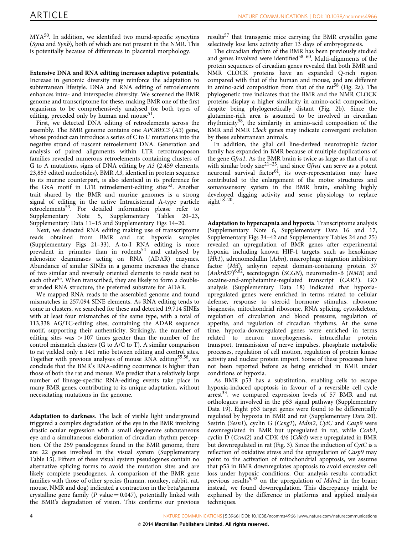MYA<sup>50</sup>. In addition, we identified two murid-specific syncytins (Syna and Synb), both of which are not present in the NMR. This is potentially because of differences in placental morphology.

Extensive DNA and RNA editing increases adaptive potentials. Increase in genomic diversity may reinforce the adaptation to subterranean lifestyle. DNA and RNA editing of retroelements enhances intra- and interspecies diversity. We screened the BMR genome and transcriptome for these, making BMR one of the first organisms to be comprehensively analysed for both types of editing, preceded only by human and mouse<sup>51</sup>.

First, we detected DNA editing of retroelements across the assembly. The BMR genome contains one APOBEC3 (A3) gene, whose product can introduce a series of C to U mutations into the negative strand of nascent retroelement DNA. Generation and analysis of paired alignments within LTR retrotransposon families revealed numerous retroelements containing clusters of G to A mutations, signs of DNA editing by A3 (2,459 elements, 23,853 edited nucleotides). BMR A3, identical in protein sequence to its murine counterpart, is also identical in its preference for the GxA motif in LTR retroelement-editing sites<sup>52</sup>. Another trait shared by the BMR and murine genomes is a strong signal of editing in the active Intracisternal A-type particle retroelements<sup>53</sup>. For detailed information please refer to<br>Supplementary Note 5, Supplementary Tables 20–23, Supplementary Note 5, Supplementary Tables Supplementary Data 11–15 and Supplementary Figs 14–20.

Next, we detected RNA editing making use of transcriptome reads obtained from BMR and rat hypoxia samples (Supplementary Figs 21–33). A-to-I RNA editing is more prevalent in primates than in rodents<sup>54</sup> and catalysed by adenosine deaminases acting on RNA (ADAR) enzymes. Abundance of similar SINEs in a genome increases the chance of two similar and reversely oriented elements to reside next to each other<sup>55</sup>. When transcribed, they are likely to form a doublestranded RNA structure, the preferred substrate for ADAR.

We mapped RNA reads to the assembled genome and found mismatches in 257,094 SINE elements. As RNA editing tends to come in clusters, we searched for these and detected 19,714 SINEs with at least four mismatches of the same type, with a total of 113,338 AG/TC-editing sites, containing the ADAR sequence motif, supporting their authenticity. Strikingly, the number of editing sites was  $>107$  times greater than the number of the control mismatch clusters (G to A/C to T). A similar comparison to rat yielded only a 14:1 ratio between editing and control sites. Together with previous analyses of mouse RNA editing<sup>55,56</sup>, we conclude that the BMR's RNA-editing occurrence is higher than those of both the rat and mouse. We predict that a relatively large number of lineage-specific RNA-editing events take place in many BMR genes, contributing to its unique adaptation, without necessitating mutations in the genome.

Adaptation to darkness. The lack of visible light underground triggered a complex degradation of the eye in the BMR involving drastic ocular regression with a small degenerate subcutaneous eye and a simultaneous elaboration of circadian rhythm perception. Of the 259 pseudogenes found in the BMR genome, there are 22 genes involved in the visual system (Supplementary Table 15). Fifteen of these visual system pseudogenes contain no alternative splicing forms to avoid the mutation sites and are likely complete pseudogenes. A comparison of the BMR gene families with those of other species (human, monkey, rabbit, rat, mouse, NMR and dog) indicated a contraction in the beta/gamma crystalline gene family ( $P$  value = 0.047), potentially linked with the BMR's degradation of vision. This confirms our previous results<sup>57</sup> that transgenic mice carrying the BMR crystallin gene selectively lose lens activity after 13 days of embryogenesis.

The circadian rhythm of the BMR has been previously studied and genes involved were identified<sup>58-60</sup>. Multi-alignments of the protein sequences of circadian genes revealed that both BMR and NMR CLOCK proteins have an expanded Q-rich region compared with that of the human and mouse, and are different in amino-acid composition from that of the rat<sup>58</sup> (Fig. 2a). The phylogenetic tree indicates that the BMR and the NMR CLOCK proteins display a higher similarity in amino-acid composition, despite being phylogenetically distant (Fig. 2b). Since the glutamine-rich area is assumed to be involved in circadian rhythmicity58, the similarity in amino-acid composition of the BMR and NMR Clock genes may indicate convergent evolution by these subterranean animals.

In addition, the glial cell line-derived neurotrophic factor family has expanded in BMR because of multiple duplications of the gene Gfra1. As the BMR brain is twice as large as that of a rat with similar body size<sup>21-23</sup>, and since Gfra1 can serve as a potent neuronal survival factor<sup>61</sup>, its over-representation may have contributed to the enlargement of the motor structures and somatosensory system in the BMR brain, enabling highly developed digging activity and sense physiology to replace sight $18-20$ .

Adaptation to hypercapnia and hypoxia. Transcriptome analysis (Supplementary Note 6, Supplementary Data 16 and 17, Supplementary Figs 34–42 and Supplementary Tables 24 and 25) revealed an upregulation of BMR genes after experimental hypoxia, including known HIF-1 targets, such as hexokinase  $(Hk1)$ , adrenomedullin  $(Adm)$ , macrophage migration inhibitory factor (Mif), ankyrin repeat domain-containing protein 37 (Ankrd37)<sup>6,62</sup>, secretogogin (SCGN), neuromedin-B (NMB) and cocaine-and-amphetamine-regulated transcript (CART). GO analysis (Supplementary Data 18) indicated that hypoxiaupregulated genes were enriched in terms related to cellular defense, response to steroid hormone stimulus, ribosome biogenesis, mitochondrial ribosome, RNA splicing, cytoskeleton, regulation of circulation and blood pressure, regulation of appetite, and regulation of circadian rhythms. At the same time, hypoxia-downregulated genes were enriched in terms related to neuron morphogenesis, intracellular protein transport, transmission of nerve impulses, phosphate metabolic processes, regulation of cell motion, regulation of protein kinase activity and nuclear protein import. Some of these processes have not been reported before as being enriched in BMR under conditions of hypoxia.

As BMR p53 has a substitution, enabling cells to escape hypoxia-induced apoptosis in favour of a reversible cell cycle  $arrest<sup>33</sup>$ , we compared expression levels of 57 BMR and rat orthologues involved in the p53 signal pathway (Supplementary Data 19). Eight p53 target genes were found to be differentially regulated by hypoxia in BMR and rat (Supplementary Data 20). Sestrin (Sesn1), cyclin G (Ccng1), Mdm2, CytC and Casp9 were downregulated in BMR but upregulated in rat, while Ccnb1, cyclin D (Ccnd2) and CDK 4/6 (Cdk4) were upregulated in BMR but downregulated in rat (Fig. 3). Since the induction of CytC is a reflection of oxidative stress and the upregulation of Casp9 may point to the activation of mitochondrial apoptosis, we assume that p53 in BMR downregulates apoptosis to avoid excessive cell loss under hypoxic conditions. Our analysis results contradict previous results<sup>9,32</sup> on the upregulation of *Mdm2* in the brain; instead, we found downregulation. This discrepancy might be explained by the difference in platforms and applied analysis techniques.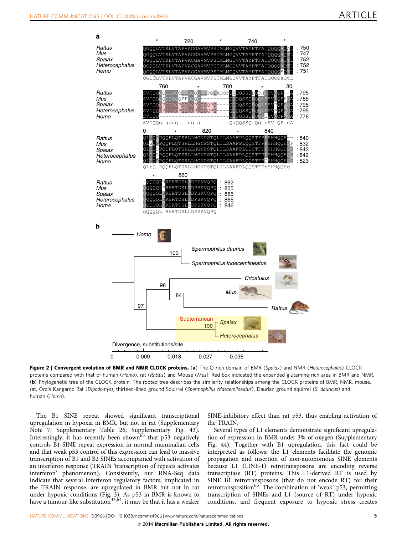

Figure 2 | Convergent evolution of BMR and NMR CLOCK proteins. (a) The Q-rich domain of BMR (Spalax) and NMR (Heterocephalus) CLOCK proteins compared with that of human (Homo), rat (Rattus) and Mouse (Mus). Red box indicated the expanded glutamine-rich area in BMR and NMR. (b) Phylogenetic tree of the CLOCK protein. The rooted tree describes the similarity relationships among the CLOCK proteins of BMR, NMR, mouse, rat, Ord's Kangaroo Rat (Dipodomys), thirteen-lined ground Squirrel (Spermophilus tridecemlineatus), Daurian ground squirrel (S. dauricus) and human (Homo).

The B1 SINE repeat showed significant transcriptional upregulation in hypoxia in BMR, but not in rat (Supplementary Note 7; Supplementary Table 26; Supplementary Fig. 43). Interestingly, it has recently been shown $63$  that p53 negatively controls B1 SINE repeat expression in normal mammalian cells and that weak p53 control of this expression can lead to massive transcription of B1 and B2 SINEs accompanied with activation of an interferon response (TRAIN 'transcription of repeats activates interferon' phenomenon). Consistently, our RNA-Seq data indicate that several interferon regulatory factors, implicated in the TRAIN response, are upregulated in BMR but not in rat under hypoxic conditions (Fig. 3). As p53 in BMR is known to have a tumour-like substitution<sup>33,64</sup>, it may be that it has a weaker

SINE-inhibitory effect than rat p53, thus enabling activation of the TRAIN.

Several types of L1 elements demonstrate significant upregulation of expression in BMR under 3% of oxygen (Supplementary Fig. 44). Together with B1 upregulation, this fact could be interpreted as follows: the L1 elements facilitate the genomic propagation and insertion of non-autonomous SINE elements because L1 (LINE-1) retrotransposons are encoding reverse transcriptase (RT) proteins. This L1-derived RT is used by SINE B1 retrotransposons (that do not encode RT) for their retrotransposition<sup>65</sup>. The combination of 'weak' p53, permitting transcription of SINEs and L1 (source of RT) under hypoxic conditions, and frequent exposure to hypoxic stress creates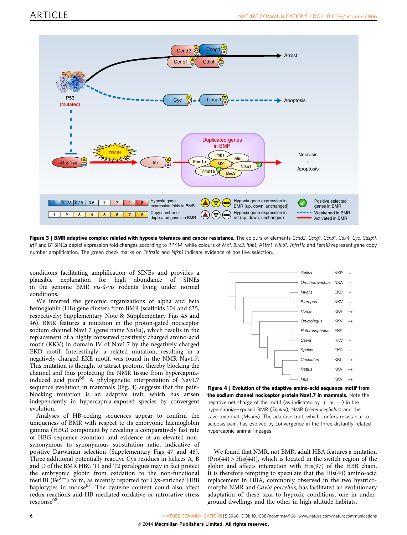

Figure 3 | BMR adaptive complex related with hypoxia tolerance and cancer resistance. The colours of elements Ccnd2, Ccng1, Ccnb1, Cdk4, Cyc, Casp9, Irf7 and B1 SINEs depict expression fold changes according to RPKM, while colours of Mx1, Birc3, Ifnb1, A1fm1, Nfkb1, Tnfrsf1a and Fem1B represent gene copy number amplification. The green check marks on Tnfrsfla and Nfkb1 indicate evidence of positive selection.

conditions facilitating amplification of SINEs and provides a plausible explanation for high abundance of SINEs in the genome BMR  $vis-\hat{a}-vis$  rodents living under normal conditions.

We inferred the genomic organizations of alpha and beta hemoglobin (HB) gene clusters from BMR (scaffolds 104 and 635, respectively; Supplementary Note 8; Supplementary Figs 45 and 46). BMR features a mutation in the proton-gated nociceptor sodium channel Nav1.7 (gene name Scn9a), which results in the replacement of a highly conserved positively charged amino-acid motif (KKV) in domain IV of Nav1.7 by the negatively charged EKD motif. Interestingly, a related mutation, resulting in a negatively charged EKE motif, was found in the NMR Nav1.7. This mutation is thought to attract protons, thereby blocking the channel and thus protecting the NMR tissue from hypercapniainduced acid pain<sup>66</sup>. A phylogenetic interpretation of Nav1.7 sequence evolution in mammals (Fig. 4) suggests that the painblocking mutation is an adaptive trait, which has arisen independently in hypercapnia-exposed species by convergent evolution.

Analyses of HB-coding sequences appear to confirm the uniqueness of BMR with respect to its embryonic haemoglobin gamma (HBG) component by revealing a comparatively fast rate of HBG sequence evolution and evidence of an elevated nonsynonymous to synonymous substitution ratio, indicative of positive Darwinian selection (Supplementary Figs 47 and 48). Three additional potentially reactive Cys residues in helices A, B and D of the BMR HBG T1 and T2 paralogues may in fact protect the embryonic globin from oxidation to the non-functional metHB ( $Fe<sup>3+</sup>$ ) form, as recently reported for Cys-enriched HBB haplotypes in mouse<sup>67</sup>. The cysteine content could also affect redox reactions and HB-mediated oxidative or nitrosative stress response<sup>68</sup>.



Figure 4 | Evolution of the adaptive amino-acid sequence motif from the sodium channel nociceptor protein Nav1.7 in mammals. Note the negative net charge of the motif (as indicated by  $+$  or  $-$ ) in the hypercapnia-exposed BMR (Spalax), NMR (Heterocephalus) and the cave microbat (Myotis). The adaptive trait, which confers resistance to acidosis pain, has evolved by convergence in the three distantly related hypercapnic animal lineages.

We found that NMR, not BMR, adult HBA features a mutation  $(Pro(44) > His(44))$ , which is located in the switch region of the globin and affects interaction with His(97) of the HBB chain. It is therefore tempting to speculate that the His(44) amino-acid replacement in HBA, commonly observed in the two hystricomorphs NMR and Cavia porcellus, has facilitated an evolutionary adaptation of these taxa to hypoxic conditions, one in underground dwellings and the other in high-altitude habitats.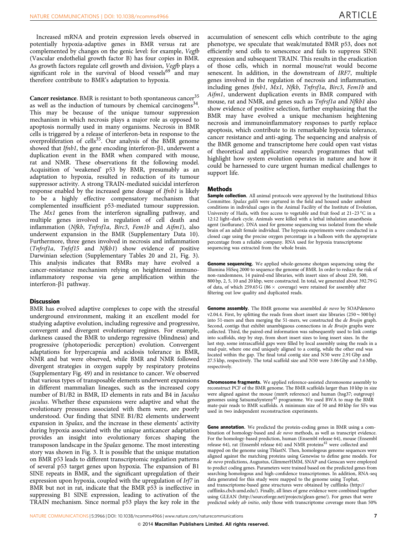Increased mRNA and protein expression levels observed in potentially hypoxia-adaptive genes in BMR versus rat are complemented by changes on the genic level: for example, Vegfb (Vascular endothelial growth factor B) has four copies in BMR. As growth factors regulate cell growth and division, Veefb plays a significant role in the survival of blood vessels<sup>69</sup> and may therefore contribute to BMR's adaptation to hypoxia.

Cancer resistance. BMR is resistant to both spontaneous cancer<sup>35</sup> as well as the induction of tumours by chemical carcinogens<sup>34</sup>. This may be because of the unique tumour suppression mechanism in which necrosis plays a major role as opposed to apoptosis normally used in many organisms. Necrosis in BMR cells is triggered by a release of interferon-beta in response to the overproliferation of cells $35$ . Our analysis of the BMR genome showed that  $Ifnb1$ , the gene encoding interferon- $\beta1$ , underwent a duplication event in the BMR when compared with mouse, rat and NMR. These observations fit the following model. Acquisition of 'weakened' p53 by BMR, presumably as an adaptation to hypoxia, resulted in reduction of its tumour suppressor activity. A strong TRAIN-mediated suicidal interferon response enabled by the increased gene dosage of Ifnb1 is likely to be a highly effective compensatory mechanism that complemented insufficient p53-mediated tumour suppression. The *Mx1* genes from the interferon signalling pathway, and multiple genes involved in regulation of cell death and inflammation (Nfkb, Tnfrsf1a, Birc3, Fem1b and Aifm1), also underwent expansion in the BMR (Supplementary Data 10). Furthermore, three genes involved in necrosis and inflammation (Tnfrsf1a, Tnfsf15 and Nfkb1) show evidence of positive Darwinian selection (Supplementary Tables 20 and 21, Fig. 3). This analysis indicates that BMRs may have evolved a cancer-resistance mechanism relying on heightened immunoinflammatory response via gene amplification within the interferon- $\beta$ 1 pathway.

### **Discussion**

BMR has evolved adaptive complexes to cope with the stressful underground environment, making it an excellent model for studying adaptive evolution, including regressive and progressive, convergent and divergent evolutionary regimes. For example, darkness caused the BMR to undergo regressive (blindness) and progressive (photoperiodic perception) evolution. Convergent adaptations for hypercapnia and acidosis tolerance in BMR, NMR and bat were observed, while BMR and NMR followed divergent strategies in oxygen supply by respiratory proteins (Supplementary Fig. 49) and in resistance to cancer. We observed that various types of transposable elements underwent expansions in different mammalian lineages, such as the increased copy number of B1/B2 in BMR, ID elements in rats and B4 in Jaculus jaculus. Whether these expansions were adaptive and what the evolutionary pressures associated with them were, are poorly understood. Our finding that SINE B1/B2 elements underwent expansion in Spalax, and the increase in these elements' activity during hypoxia associated with the unique anticancer adaptation provides an insight into evolutionary forces shaping the transposon landscape in the Spalax genome. The most interesting story was shown in Fig. 3. It is possible that the unique mutation on BMR p53 leads to different transcriptomic regulation patterns of several p53 target genes upon hypoxia. The expansion of B1 SINE repeats in BMR, and the significant upregulation of their expression upon hypoxia, coupled with the upregulation of Irf7 in BMR but not in rat, indicate that the BMR p53 is ineffective in suppressing B1 SINE expression, leading to activation of the TRAIN mechanism. Since normal p53 plays the key role in the

accumulation of senescent cells which contribute to the aging phenotype, we speculate that weak/mutated BMR p53, does not efficiently send cells to senescence and fails to suppress SINE expression and subsequent TRAIN. This results in the eradication of those cells, which in normal mouse/rat would become senescent. In addition, in the downstream of IRF7, multiple genes involved in the regulation of necrosis and inflammation, including genes Ifnb1, Mx1, Nfkb, Tnfrsf1a, Birc3, Fem1b and Aifm1, underwent duplication events in BMR compared with mouse, rat and NMR, and genes such as *Tnfrsf1a* and *Nfkb1* also show evidence of positive selection, further emphasizing that the BMR may have evolved a unique mechanism heightening necrosis and immunoinflammatory responses to partly replace apoptosis, which contribute to its remarkable hypoxia tolerance, cancer resistance and anti-aging. The sequencing and analysis of the BMR genome and transcriptome here could open vast vistas of theoretical and applicative research programmes that will highlight how system evolution operates in nature and how it could be harnessed to cure urgent human medical challenges to support life.

### **Methods**

Sample collection. All animal protocols were approved by the Institutional Ethics Committee. Spalax galili were captured in the field and housed under ambient conditions in individual cages in the Animal Facility of the Institute of Evolution, University of Haifa, with free access to vegetable and fruit food at  $21-23$  °C in a 12:12 light–dark cycle. Animals were killed with a lethal inhalation anaesthesia agent (isoflurane). DNA used for genome sequencing was isolated from the whole brain of an adult female individual. The hypoxia experiments were conducted in a closed cage using the precise oxygen percentage in a balloon with the appropriate percentage from a reliable company. RNA used for hypoxia transcriptome sequencing was extracted from the whole brain.

Genome sequencing. We applied whole-genome shotgun sequencing using the Illumina HiSeq 2000 to sequence the genome of BMR. In order to reduce the risk of non-randomness, 14 paired-end libraries, with insert sizes of about 250, 500, 800 bp, 2, 5, 10 and 20 kbp, were constructed. In total, we generated about 392.79 G of data, of which 259.65 G (86  $\times$  coverage) were retained for assembly after filtering out low quality and duplicated reads.

Genome assembly. The BMR genome was assembled de novo by SOAPdenovo v2.04.4. First, by splitting the reads from short insert size libraries  $(250 \sim 500$  bp) into 51-mers and then merging the 51-mers, we constructed the de Bruijn graph. Second, contigs that exhibit unambiguous connections in de Bruijn graphs were collected. Third, the paired-end information was subsequently used to link contigs into scaffolds, step by step, from short insert sizes to long insert sizes. In the last step, some intrascaffold gaps were filled by local assembly using the reads in a read-pair, where one end uniquely aligned to a contig, while the other end was located within the gap. The final total contig size and N50 were 2.91 Gbp and 27.5 kbp, respectively. The total scaffold size and N50 were 3.06 Gbp and 3.6 Mbp, respectively.

Chromosome fragments. We applied reference-assisted chromosome assembly to reconstruct PCF of the BMR genome. The BMR scaffolds larger than 10 kbp in size were aligned against the mouse (mm9; reference) and human (hsg37; outgroup) genomes using SatsumaSynteny<sup>43</sup> programme. We used BWA to map the BMR mate-pair reads to BMR scaffolds. A minimum size of 50 and 80 kbp for SFs was used in two independent reconstruction experiments.

Gene annotation. We predicted the protein-coding genes in BMR using a combination of homology-based and de novo methods, as well as transcript evidence. For the homology-based prediction, human (Ensembl release 64), mouse (Ensembl release 64), rat (Ensembl release 64) and NMR proteins<sup>41</sup> were collected and mapped on the genome using TblastN. Then, homologous genome sequences were aligned against the matching proteins using Genewise to define gene models. For de novo predictions, Augustus, GlimmerHMM, SNAP and Genscan were employed to predict coding genes. Parameters were trained based on the predicted genes from searching homologous and high-confidence transcriptomes. In addition, RNA-seq data generated for this study were mapped to the genome using Tophat, and transcriptome-based gene structures were obtained by cufflinks ([http://](http://cufflinks.cbcb.umd.edu/) [cufflinks.cbcb.umd.edu/\)](http://cufflinks.cbcb.umd.edu/). Finally, all lines of gene evidence were combined together using GLEAN [\(http://sourceforge.net/projects/glean-gene/\)](http://sourceforge.net/projects/glean-gene/). For genes that were predicted solely ab initio, only those with transcriptome coverage more than 50%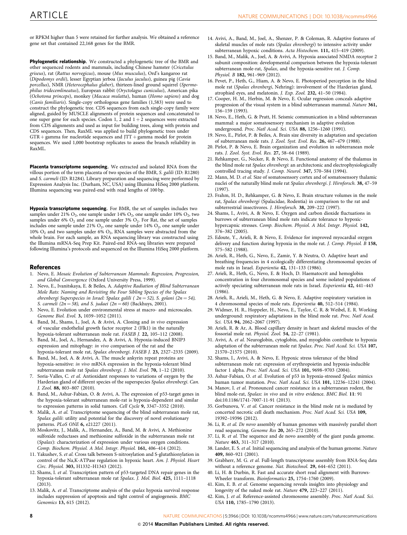or RPKM higher than 5 were retained for further analysis. We obtained a reference gene set that contained 22,168 genes for the BMR.

Phylogenetic relationship. We constructed a phylogenetic tree of the BMR and other sequenced rodents and mammals, including Chinese hamster (Cricetulus griseus), rat (Rattus norvegicus), mouse (Mus musculus), Ord's kangaroo rat (Dipodomys ordii), lesser Egyptian jerboa (Jaculus jaculus), guinea pig (Cavia porcellus), NMR (Heterocephalus glaber), thirteen-lined ground squirrel (Spermophilus tridecemlineatus), European rabbit (Oryctolagus cuniculus), American pika (Ochotona princeps), monkey (Macaca mulatta), human (Homo sapiens) and dog (Canis familiaris). Single-copy orthologous gene families (1,583) were used to construct the phylogenetic tree. CDS sequences from each single-copy family were aligned, guided by MUSCLE alignments of protein sequences and concatenated to one super gene for each species. Codon 1, 2 and  $1 + 2$  sequences were extracted from CDS alignments and used as input for building trees, along with protein and CDS sequences. Then, RaxML was applied to build phylogenetic trees under  $GTR + \text{gamma}$  for nucleotide sequences and JTT + gamma model for protein sequences. We used 1,000 bootstrap replicates to assess the branch reliability in RaxML.

Placenta transcriptome sequencing. We extracted and isolated RNA from the villous portion of the term placenta of two species of the BMR, S. galili (ID: R1280) and S. carmeli (ID: R1284). Library preparation and sequencing were performed by Expression Analysis Inc. (Durham, NC, USA) using Illumina HiSeq 2000 platform. Illumina sequencing was paired-end with read lengths of 100 bp.

Hypoxia transcriptome sequencing. For BMR, the set of samples includes two samples under 21%  $O_2$ , one sample under 14%  $O_2$ , one sample under 10%  $O_2$ , two samples under 6%  $O_2$  and one sample under 3%  $O_2$ . For Rat, the set of samples includes one sample under 21%  $O_2$ , one sample under 14%  $O_2$ , one sample under 10%  $O_2$  and two samples under 6%  $O_2$ , RNA samples were abstracted from the whole brain. For each sample, an RNA sequencing library was constructed using the Illumina mRNA-Seq Prep Kit. Paired-end RNA-seq libraries were prepared following Illumina's protocols and sequenced on the Illumina HiSeq 2000 platform.

### **References**

- 1. Nevo, E. Mosaic Evolution of Subterranean Mammals: Regression, Progression, and Global Convergence (Oxford University Press, 1999).
- 2. Nevo, E., Ivanitskaya, E. & Beiles, A. Adaptive Radiation of Blind Subterranean Mole Rats: Naming and Revisiting the Four Sibling Species of the Spalax ehrenbergi Superspecies in Israel: Spalax galili ( $2n = 52$ ), S. golani ( $2n = 54$ ), S. carmeli (2n = 58), and S. judaei (2n = 60) (Backhuys, 2001).
- Nevo, E. Evolution under environmental stress at macro- and microscales. Genome Biol. Evol. 3, 1039–1052 (2011).
- 4. Band, M., Shams, I., Joel, A. & Avivi, A. Cloning and in vivo expression of vascular endothelial growth factor receptor 2 (Flk1) in the naturally hypoxia-tolerant subterranean mole rat. FASEB J. 22, 105–112 (2008).
- 5. Band, M., Joel, A., Hernandez, A. & Avivi, A. Hypoxia-induced BNIP3 expression and mitophagy: in vivo comparison of the rat and the hypoxia-tolerant mole rat, Spalax ehrenbergi. FASEB J. 23, 2327–2335 (2009).
- Band, M., Joel, A. & Avivi, A. The muscle ankyrin repeat proteins are hypoxia-sensitive: in vivo mRNA expression in the hypoxia-tolerant blind subterranean mole rat Spalax ehrenbergi. J. Mol. Evol. 70, 1-12 (2010).
- Soria-Valles, C. et al. Antioxidant responses to variations of oxygen by the Harderian gland of different species of the superspecies Spalax ehrenbergi. Can. J. Zool. 88, 803–807 (2010).
- 8. Band, M., Ashur-Fabian, O. & Avivi, A. The expression of p53-target genes in the hypoxia-tolerant subterranean mole-rat is hypoxia-dependent and similar to expression patterns in solid tumors. Cell Cycle 9, 3347–3352 (2010).
- 9. Malik, A. et al. Transcriptome sequencing of the blind subterranean mole rat, Spalax galili: utility and potential for the discovery of novel evolutionary patterns. PLoS ONE 6, e21227 (2011).
- 10. Moskovitz, J., Malik, A., Hernandez, A., Band, M. & Avivi, A. Methionine sulfoxide reductases and methionine sulfoxide in the subterranean mole rat (Spalax): characterization of expression under various oxygen conditions. Comp. Biochem. Physiol. A Mol. Integr. Physiol. 161, 406–414 (2012).
- 11. Yakushev, S. et al. Cross talk between S-nitrosylation and S-glutathionylation in control of the Na,K-ATPase regulation in hypoxic heart. Am. J. Physiol. Heart Circ. Physiol. 303, H1332–H1343 (2012).
- 12. Shams, I. et al. Transcription pattern of p53-targeted DNA repair genes in the hypoxia-tolerant subterranean mole rat Spalax. J. Mol. Biol. 425, 1111–1118 (2013).
- 13. Malik, A. et al. Transcriptome analysis of the spalax hypoxia survival response includes suppression of apoptosis and tight control of angiogenesis. BMC Genomics 13, 615 (2012).
- 14. Avivi, A., Band, M., Joel, A., Shenzer, P. & Coleman, R. Adaptive features of skeletal muscles of mole rats (Spalax ehrenbergi) to intensive activity under subterranean hypoxic conditions. Acta Histochem. 111, 415–419 (2009).
- 15. Band, M., Malik, A., Joel, A. & Avivi, A. Hypoxia associated NMDA receptor 2 subunit composition: developmental comparison between the hypoxia-tolerant subterranean mole-rat, Spalax, and the hypoxia-sensitive rat. J. Comp. Physiol. B 182, 961–969 (2012).
- 16. Pevet, P., Heth, G., Hiam, A. & Nevo, E. Photoperiod perception in the blind mole rat (Spalax ehrenbergi, Nehring): involvement of the Harderian gland, atrophied eyes, and melatonin. J. Exp. Zool. 232, 41–50 (1984).
- 17. Cooper, H. M., Herbin, M. & Nevo, E. Ocular regression conceals adaptive progression of the visual system in a blind subterranean mammal. Nature 361, 156–159 (1993).
- 18. Nevo, E., Heth, G. & Pratt, H. Seismic communication in a blind subterranean mammal: a major somatosensory mechanism in adaptive evolution underground. Proc. Natl Acad. Sci. USA 88, 1256–1260 (1991).
- 19. Nevo, E., Pirlot, P. & Beiles, A. Brain size diversity in adaptation and speciation of subterranean mole rats. J. Zool. Syst. Evol. Res. 26, 467–479 (1988).
- 20. Pirlot, P. & Nevo, E. Brain organization and evolution in subterranean mole rats. J. Zool. Syst. Evol. Res. 27, 58–64 (1989).
- 21. Rehkamper, G., Necker, R. & Nevo, E. Functional anatomy of the thalamus in the blind mole rat Spalax ehrenbergi: an architectonic and electrophysiologically controlled tracing study. J. Comp. Neurol. 347, 570–584 (1994).
- 22. Mann, M. D. et al. Size of somatosensory cortex and of somatosensory thalamic nuclei of the naturally blind mole rat Spalax ehrenbergi. J. Hirnforsch. 38, 47–59 (1997).
- 23. Frahm, H. D., Rehkamper, G. & Nevo, E. Brain structure volumes in the mole rat, Spalax ehrenbergi (Spalacidae, Rodentia) in comparison to the rat and subterrestrial insectivores. J. Hirnforsch. 38, 209–222 (1997).
- 24. Shams, I., Avivi, A. & Nevo, E. Oxygen and carbon dioxide fluctuations in burrows of subterranean blind mole rats indicate tolerance to hypoxichypercapnic stresses. Comp. Biochem. Physiol. A Mol. Integr. Physiol. 142, 376–382 (2005).
- 25. Edoute, Y., Arieli, R. & Nevo, E. Evidence for improved myocardial oxygen delivery and function during hypoxia in the mole rat. J. Comp. Physiol. B 158, 575–582 (1988).
- 26. Arieli, R., Heth, G., Nevo, E., Zamir, Y. & Neutra, O. Adaptive heart and breathing frequencies in 4 ecologically differentiating chromosomal species of mole rats in Israel. Experientia 42, 131–133 (1986).
- 27. Arieli, R., Heth, G., Nevo, E. & Hoch, D. Haematocrit and hemoglobin concentration in four chromosomal species and some isolated populations of actively speciating subterranean mole rats in Israel. Experientia 42, 441–443 (1986).
- 28. Arieli, R., Arieli, M., Heth, G. & Nevo, E. Adaptive respiratory variation in 4 chromosomal species of mole rats. Experientia 40, 512–514 (1984).
- 29. Widmer, H. R., Hoppeler, H., Nevo, E., Taylor, C. R. & Weibel, E. R. Working underground: respiratory adaptations in the blind mole rat. Proc. Natl Acad. Sci. USA 94, 2062–2067 (1997).
- 30. Arieli, R. & Ar, A. Blood capillary density in heart and skeletal muscles of the fossorial mole rat. Physiol. Zool. 54, 22–27 (1981).
- 31. Avivi, A. et al. Neuroglobin, cytoglobin, and myoglobin contribute to hypoxia adaptation of the subterranean mole rat Spalax. Proc. Natl Acad. Sci. USA 107, 21570–21575 (2010).
- 32. Shams, I., Avivi, A. & Nevo, E. Hypoxic stress tolerance of the blind subterranean mole rat: expression of erythropoietin and hypoxia-inducible factor 1 alpha. Proc. Natl Acad. Sci. USA 101, 9698–9703 (2004).
- 33. Ashur-Fabian, O. et al. Evolution of p53 in hypoxia-stressed Spalax mimics human tumor mutation. Proc. Natl Acad. Sci. USA 101, 12236–12241 (2004).
- 34. Manov, I. et al. Pronounced cancer resistance in a subterranean rodent, the blind mole-rat, Spalax: in vivo and in vitro evidence. BMC Biol. 11: 91 doi:[10.1186/1741-7007-11-91](http://dx.doi.org/10.1186/1741-7007-11-91) (2013).
- 35. Gorbunova, V. et al. Cancer resistance in the blind mole rat is mediated by concerted necrotic cell death mechanism. Proc. Natl Acad. Sci. USA 109, 19392–19396 (2012).
- 36. Li, R. et al. De novo assembly of human genomes with massively parallel short read sequencing. Genome Res 20, 265–272 (2010).
- 37. Li, R. et al. The sequence and de novo assembly of the giant panda genome. Nature 463, 311–317 (2010).
- 38. Lander, E. S. et al. Initial sequencing and analysis of the human genome. Nature 409, 860–921 (2001).
- 39. Grabherr, M. G. et al. Full-length transcriptome assembly from RNA-Seq data without a reference genome. Nat. Biotechnol. 29, 644–652 (2011).
- 40. Li, H. & Durbin, R. Fast and accurate short read alignment with Burrows-Wheeler transform. Bioinformatics 25, 1754–1760 (2009).
- 41. Kim, E. B. et al. Genome sequencing reveals insights into physiology and longevity of the naked mole rat. Nature 479, 223-227 (2011).
- 42. Kim, J. et al. Reference-assisted chromosome assembly. Proc. Natl Acad. Sci. USA 110, 1785–1790 (2013).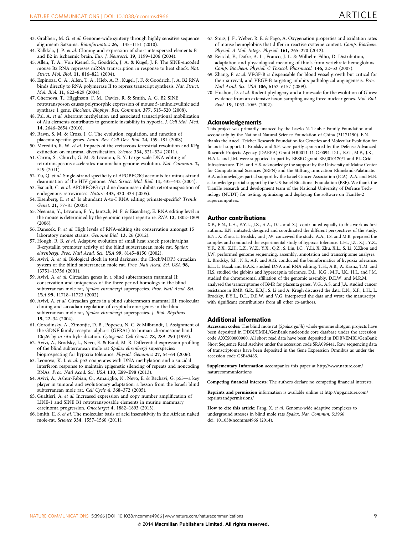- 43. Grabherr, M. G. et al. Genome-wide synteny through highly sensitive sequence alignment: Satsuma. Bioinformatics 26, 1145–1151 (2010).
- 44. Kalkkila, J. P. et al. Cloning and expression of short interspersed elements B1 and B2 in ischaemic brain. Eur. J. Neurosci. 19, 1199–1206 (2004).
- 45. Allen, T. A., Von Kaenel, S., Goodrich, J. A. & Kugel, J. F. The SINE-encoded mouse B2 RNA represses mRNA transcription in response to heat shock. Nat. Struct. Mol. Biol. 11, 816–821 (2004).
- 46. Espinoza, C. A., Allen, T. A., Hieb, A. R., Kugel, J. F. & Goodrich, J. A. B2 RNA binds directly to RNA polymerase II to repress transcript synthesis. Nat. Struct. Mol. Biol. 11, 822–829 (2004).
- 47. Chernova, T., Higginson, F. M., Davies, R. & Smith, A. G. B2 SINE retrotransposon causes polymorphic expression of mouse 5-aminolevulinic acid synthase 1 gene. Biochem. Biophys. Res. Commun. 377, 515–520 (2008).
- 48. Pal, A. et al. Aberrant methylation and associated transcriptional mobilization of Alu elements contributes to genomic instability in hypoxia. J. Cell Mol. Med. 14, 2646–2654 (2010).
- 49. Rawn, S. M. & Cross, J. C. The evolution, regulation, and function of placenta-specific genes. Annu. Rev. Cell Dev. Biol. 24, 159-181 (2008).
- 50. Meredith, R. W. et al. Impacts of the cretaceous terrestrial revolution and KPg extinction on mammal diversification. Science 334, 521–524 (2011).
- 51. Carmi, S., Church, G. M. & Levanon, E. Y. Large-scale DNA editing of retrotransposons accelerates mammalian genome evolution. Nat. Commun. 2, 519 (2011).
- 52. Yu, Q. et al. Single-strand specificity of APOBEC3G accounts for minus-strand deamination of the HIV genome. Nat. Struct. Mol. Biol. 11, 435-442 (2004).
- 53. Esnault, C. et al. APOBEC3G cytidine deaminase inhibits retrotransposition of endogenous retroviruses. Nature 433, 430–433 (2005).
- 54. Eisenberg, E. et al. Is abundant A-to-I RNA editing primate-specific? Trends Genet. 21, 77-81 (2005).
- 55. Neeman, Y., Levanon, E. Y., Jantsch, M. F. & Eisenberg, E. RNA editing level in the mouse is determined by the genomic repeat repertoire. RNA 12, 1802–1809 (2006).
- 56. Danecek, P. et al. High levels of RNA-editing site conservation amongst 15 laboratory mouse strains. Genome Biol. 13, 26 (2012).
- 57. Hough, R. B. et al. Adaptive evolution of small heat shock protein/alpha B-crystallin promoter activity of the blind subterranean mole rat, Spalax ehrenbergi. Proc. Natl Acad. Sci. USA 99, 8145–8150 (2002).
- 58. Avivi, A. et al. Biological clock in total darkness: the Clock/MOP3 circadian system of the blind subterranean mole rat. Proc. Natl Acad. Sci. USA 98, 13751–13756 (2001).
- 59. Avivi, A. et al. Circadian genes in a blind subterranean mammal II: conservation and uniqueness of the three period homologs in the blind subterranean mole rat, Spalax ehrenbergi superspecies. Proc. Natl Acad. Sci. USA 99, 11718–11723 (2002).
- 60. Avivi, A. et al. Circadian genes in a blind subterranean mammal III: molecular cloning and circadian regulation of cryptochrome genes in the blind subterranean mole rat, Spalax ehrenbergi superspecies. J. Biol. Rhythms 19, 22–34 (2004).
- 61. Gorodinsky, A., Zimonjic, D. B., Popescu, N. C. & Milbrandt, J. Assignment of the GDNF family receptor alpha-1 (GFRA1) to human chromosome band 10q26 by in situ hybridization. Cytogenet. Cell Genet. 78, 289–290 (1997).
- 62. Avivi, A., Brodsky, L., Nevo, E. & Band, M. R. Differential expression profiling of the blind subterranean mole rat Spalax ehrenbergi superspecies: bioprospecting for hypoxia tolerance. Physiol. Genomics 27, 54–64 (2006).
- 63. Leonova, K. I. et al. p53 cooperates with DNA methylation and a suicidal interferon response to maintain epigenetic silencing of repeats and noncoding RNAs. Proc. Natl Acad. Sci. USA 110, E89–E98 (2013).
- 64. Avivi, A., Ashur-Fabian, O., Amariglio, N., Nevo, E. & Rechavi, G. p53—a key player in tumoral and evolutionary adaptation: a lesson from the Israeli blind subterranean mole rat. Cell Cycle 4, 368–372 (2005).
- 65. Gualtieri, A. et al. Increased expression and copy number amplification of LINE-1 and SINE B1 retrotransposable elements in murine mammary carcinoma progression. Oncotarget 4, 1882–1893 (2013).
- 66. Smith, E. S. et al. The molecular basis of acid insensitivity in the African naked mole-rat. Science 334, 1557–1560 (2011).
- 67. Storz, J. F., Weber, R. E. & Fago, A. Oxygenation properties and oxidation rates of mouse hemoglobins that differ in reactive cysteine content. Comp. Biochem. Physiol. A Mol. Integr. Physiol. 161, 265–270 (2012).
- 68. Reischl, E., Dafre, A. L., Franco, J. L. & Wilhelm Filho, D. Distribution, adaptation and physiological meaning of thiols from vertebrate hemoglobins. Comp. Biochem. Physiol. C Toxicol. Pharmacol. 146, 22–53 (2007).
- . Zhang, F. et al. VEGF-B is dispensable for blood vessel growth but critical for their survival, and VEGF-B targeting inhibits pathological angiogenesis. Proc. Natl Acad. Sci. USA 106, 6152–6157 (2009).
- 70. Huchon, D. et al. Rodent phylogeny and a timescale for the evolution of Glires: evidence from an extensive taxon sampling using three nuclear genes. Mol. Biol. Evol. 19, 1053–1065 (2002).

### Acknowledgements

This project was primarily financed by the Laszlo N. Tauber Family Foundation and secondarily by the National Natural Science Foundation of China (31171190). E.N. thanks the Ancell Teicher Research Foundation for Genetics and Molecular Evolution for financial support. L. Brodsky and S.F. were partly sponsored by the Defense Advanced Research Projects Agency (DARPA) Grant HR0011-11-C-0094. D.L., K.G., M.F., J.K., H.A.L. and J.M. were supported in part by BBSRC grant BB/J010170/1 and PL-Grid Infrastructure. T.H. and H.S. acknowledge the support by the University of Mainz Center for Computational Sciences (SRFN) and the Stiftung Innovation Rhineland-Palatinate. A.A. acknowledges partial support by the Israel Cancer Association (ICA). A.A. and M.B. acknowledge partial support by the US-Israel Binational Foundation (BSF). We thank the TianHe research and development team of the National University of Defense Technology (NUDT) for testing, optimizing and deploying the software on TianHe-2 supercomputers.

### Author contributions

X.F., E.N., L.H., E.Y.L., J.Z., A.A., D.L. and X.J. contributed equally to this work as first authors. E.N. initiated, designed and coordinated the different perspectives of the study. E.N., X. Zhou, L. Brodsky and J.W. conceived the study. A.A., I.S. and M.B. prepared the samples and conducted the experimental study of hypoxia tolerance. L.H., J.Z., X.J., Y.Z., Y.F., Z.X., Z.H., L.Z., W.Z., Y.X., Q.Z., S. Liu, J.C., Y.Li, X. Zhu, X.L., S. Li, X.Zhou and J.W. performed genome sequencing, assembly, annotation and transcriptome analyses. L. Brodsky, S.F., N.S., A.F. and A.G. conducted the bioinformatics of hypoxia tolerance. E.L., L. Bazak and B.A.K. studied DNA and RNA editing. T.H., A.B., A. Kranz, T.M. and H.S. studied the globins and hypercapnia tolerance. D.L., K.G., M.F., J.K., H.L. and J.M. studied the chromosomal affiliation of the genomic assembly. D.E.W. and M.R.M. analysed the transcriptome of BMR for placenta genes. V.G., A.S. and J.A. studied cancer resistance in BMR. G.R., E.B.J., S. Li and A. Krogh discussed the data. E.N., X.F., L.H., L. Brodsky, E.Y.L., D.L., D.E.W. and V.G. interpreted the data and wrote the manuscript with significant contributions from all other co-authors.

### Additional information

Accession codes: The blind mole rat (Spalax galili) whole-genome shotgun projects have been deposited in DDBJ/EMBL/GenBank nucleotide core database under the accession code AXCS00000000. All short read data have been deposited in DDBJ/EMBL/GenBank Short Sequence Read Archive under the accession code SRA096441. Raw sequencing data of transcriptomes have been deposited in the Gene Expression Omnibus as under the accession code GSE49485.

Supplementary Information accompanies this paper at [http://www.nature.com/](http://www.nature.com/naturecommunications) [naturecommunications](http://www.nature.com/naturecommunications)

Competing financial interests: The authors declare no competing financial interests.

Reprints and permission information is available online at [http://npg.nature.com/](http://npg.nature.com/reprintsandpermissions/) [reprintsandpermissions/](http://npg.nature.com/reprintsandpermissions/)

How to cite this article: Fang, X. et al. Genome-wide adaptive complexes to underground stresses in blind mole rats Spalax. Nat. Commun. 5:3966 doi: 10.1038/ncomms4966 (2014).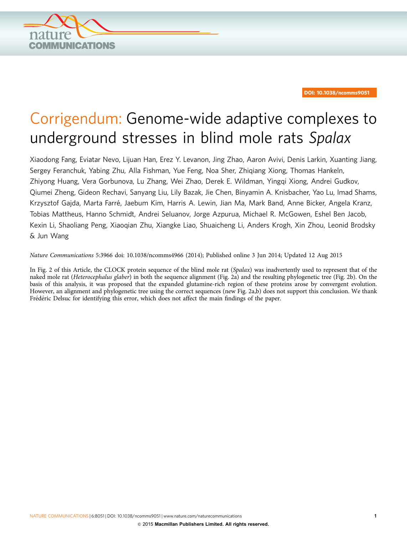

DOI: 10.1038/ncomms9051

# Corrigendum: Genome-wide adaptive complexes to underground stresses in blind mole rats Spalax

Xiaodong Fang, Eviatar Nevo, Lijuan Han, Erez Y. Levanon, Jing Zhao, Aaron Avivi, Denis Larkin, Xuanting Jiang, Sergey Feranchuk, Yabing Zhu, Alla Fishman, Yue Feng, Noa Sher, Zhiqiang Xiong, Thomas Hankeln, Zhiyong Huang, Vera Gorbunova, Lu Zhang, Wei Zhao, Derek E. Wildman, Yingqi Xiong, Andrei Gudkov, Qiumei Zheng, Gideon Rechavi, Sanyang Liu, Lily Bazak, Jie Chen, Binyamin A. Knisbacher, Yao Lu, Imad Shams, Krzysztof Gajda, Marta Farré, Jaebum Kim, Harris A. Lewin, Jian Ma, Mark Band, Anne Bicker, Angela Kranz, Tobias Mattheus, Hanno Schmidt, Andrei Seluanov, Jorge Azpurua, Michael R. McGowen, Eshel Ben Jacob, Kexin Li, Shaoliang Peng, Xiaoqian Zhu, Xiangke Liao, Shuaicheng Li, Anders Krogh, Xin Zhou, Leonid Brodsky & Jun Wang

Nature Communications 5:3966 doi: [10.1038/ncomms4966](http://dx.doi.org/10.1038/ncomms4966) (2014); Published online 3 Jun 2014; Updated 12 Aug 2015

In Fig. 2 of this Article, the CLOCK protein sequence of the blind mole rat (Spalax) was inadvertently used to represent that of the naked mole rat (Heterocephalus glaber) in both the sequence alignment (Fig. 2a) and the resulting phylogenetic tree (Fig. 2b). On the basis of this analysis, it was proposed that the expanded glutamine-rich region of these proteins arose by convergent evolution. However, an alignment and phylogenetic tree using the correct sequences (new Fig. 2a,b) does not support this conclusion. We thank Frédéric Delsuc for identifying this error, which does not affect the main findings of the paper.